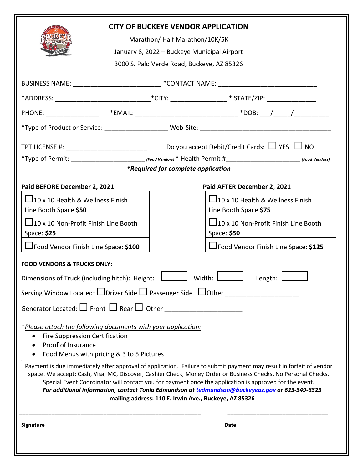| <b>CITY OF BUCKEYE VENDOR APPLICATION</b><br>Marathon/ Half Marathon/10K/5K<br>January 8, 2022 - Buckeye Municipal Airport<br>3000 S. Palo Verde Road, Buckeye, AZ 85326                                                                                                                                                                                                                                                                                                                                    |  |  |                                                                                                                 |
|-------------------------------------------------------------------------------------------------------------------------------------------------------------------------------------------------------------------------------------------------------------------------------------------------------------------------------------------------------------------------------------------------------------------------------------------------------------------------------------------------------------|--|--|-----------------------------------------------------------------------------------------------------------------|
| BUSINESS NAME: _______________________________*CONTACT NAME: ____________________                                                                                                                                                                                                                                                                                                                                                                                                                           |  |  |                                                                                                                 |
|                                                                                                                                                                                                                                                                                                                                                                                                                                                                                                             |  |  | *ADDRESS: _______________________________*CITY: _____________________* STATE/ZIP: __________________            |
|                                                                                                                                                                                                                                                                                                                                                                                                                                                                                                             |  |  |                                                                                                                 |
|                                                                                                                                                                                                                                                                                                                                                                                                                                                                                                             |  |  |                                                                                                                 |
| <i>*Required for complete application</i>                                                                                                                                                                                                                                                                                                                                                                                                                                                                   |  |  |                                                                                                                 |
| Paid BEFORE December 2, 2021                                                                                                                                                                                                                                                                                                                                                                                                                                                                                |  |  | Paid AFTER December 2, 2021                                                                                     |
| $\Box$ 10 x 10 Health & Wellness Finish<br>Line Booth Space \$50<br>$\Box$ 10 x 10 Non-Profit Finish Line Booth                                                                                                                                                                                                                                                                                                                                                                                             |  |  | $\Box$ 10 x 10 Health & Wellness Finish<br>Line Booth Space \$75<br>$\Box$ 10 x 10 Non-Profit Finish Line Booth |
| Space: \$25<br><u> 1980 - Jan Jawa Barat, prima prima prima prima prima prima prima prima prima prima prima prima prima prima p</u>                                                                                                                                                                                                                                                                                                                                                                         |  |  | Space: \$50                                                                                                     |
| □Food Vendor Finish Line Space: \$100                                                                                                                                                                                                                                                                                                                                                                                                                                                                       |  |  | □Food Vendor Finish Line Space: \$125                                                                           |
| <b>FOOD VENDORS &amp; TRUCKS ONLY:</b><br>Width:<br>Dimensions of Truck (including hitch): Height:<br>Length:<br>Serving Window Located: $\Box$ Driver Side $\Box$ Passenger Side $\Box$ Other $\Box$<br>Generator Located: $\Box$ Front $\Box$ Rear $\Box$ Other ______________________________                                                                                                                                                                                                            |  |  |                                                                                                                 |
| *Please attach the following documents with your application:<br>Fire Suppression Certification<br>Proof of Insurance<br>$\bullet$<br>Food Menus with pricing & 3 to 5 Pictures                                                                                                                                                                                                                                                                                                                             |  |  |                                                                                                                 |
| Payment is due immediately after approval of application. Failure to submit payment may result in forfeit of vendor<br>space. We accept: Cash, Visa, MC, Discover, Cashier Check, Money Order or Business Checks. No Personal Checks.<br>Special Event Coordinator will contact you for payment once the application is approved for the event.<br>For additional information, contact Tonia Edmundson at tedmundson@buckeyeaz.gov or 623-349-6323<br>mailing address: 110 E. Irwin Ave., Buckeye, AZ 85326 |  |  |                                                                                                                 |
| Signature                                                                                                                                                                                                                                                                                                                                                                                                                                                                                                   |  |  | Date                                                                                                            |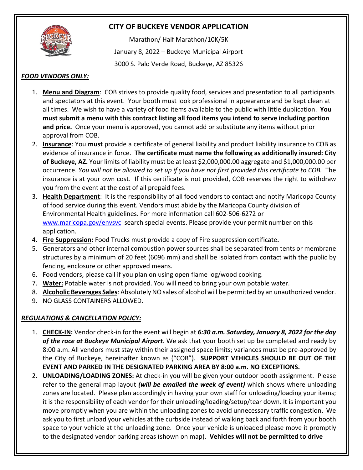

## **CITY OF BUCKEYE VENDOR APPLICATION**

Marathon/ Half Marathon/10K/5K January 8, 2022 – Buckeye Municipal Airport 3000 S. Palo Verde Road, Buckeye, AZ 85326

#### *FOOD VENDORS ONLY:*

- 1. **Menu and Diagram**: COB strives to provide quality food, services and presentation to all participants and spectators at this event. Your booth must look professional in appearance and be kept clean at all times. We wish to have a variety of food items available to the public with little duplication. **You must submit a menu with this contract listing all food items you intend to serve including portion and price.** Once your menu is approved, you cannot add or substitute any items without prior approval from COB.
- 2. **Insurance**: You **must** provide a certificate of general liability and product liability insurance to COB as evidence of insurance in force. **The certificate must name the following as additionally insured: City of Buckeye, AZ.** Your limits of liability must be at least \$2,000,000.00 aggregate and \$1,000,000.00 per occurrence. *You will not be allowed to set up if you have not first provided this certificate to COB.* The insurance is at your own cost. If this certificate is not provided, COB reserves the right to withdraw you from the event at the cost of all prepaid fees.
- 3. **Health Department**: It is the responsibility of all food vendors to contact and notify Maricopa County of food service during this event. Vendors must abide by the Maricopa County division of Environmental Health guidelines. For more information call 602-506-6272 or [www.maricopa.gov/envsvc](http://www.maricopa.gov/envsvc) search special events. Please provide your permit number on this application.
- 4. **Fire Suppression:** Food Trucks must provide a copy of Fire suppression certificate**.**
- 5. Generators and other internal combustion power sources shall be separated from tents or membrane structures by a minimum of 20 feet (6096 mm) and shall be isolated from contact with the public by fencing, enclosure or other approved means.
- 6. Food vendors, please call if you plan on using open flame log/wood cooking.
- 7. **Water:** Potable water is not provided. You will need to bring your own potable water.
- 8. **Alcoholic Beverages Sales**: Absolutely NO sales of alcohol will be permitted by an unauthorized vendor.
- 9. NO GLASS CONTAINERS ALLOWED.

## *REGULATIONS & CANCELLATION POLICY:*

- 1. **CHECK-IN:** Vendor check-in for the event will begin at *6:30 a.m. Saturday, January 8, 2022 for the day of the race at Buckeye Municipal Airport*. We ask that your booth set up be completed and ready by 8:00 a.m. All vendors must stay within their assigned space limits; variances must be pre-approved by the City of Buckeye, hereinafter known as ("COB"). **SUPPORT VEHICLES SHOULD BE OUT OF THE EVENT AND PARKED IN THE DESIGNATED PARKING AREA BY 8:00 a.m. NO EXCEPTIONS.**
- 2. **UNLOADING/LOADING ZONES:** At check-in you will be given your outdoor booth assignment. Please refer to the general map layout *(will be emailed the week of event)* which shows where unloading zones are located. Please plan accordingly in having your own staff for unloading/loading your items; it is the responsibility of each vendor for their unloading/loading/setup/tear down. It is important you move promptly when you are within the unloading zones to avoid unnecessary traffic congestion. We ask you to first unload your vehicles at the curbside instead of walking back and forth from your booth space to your vehicle at the unloading zone. Once your vehicle is unloaded please move it promptly to the designated vendor parking areas (shown on map). **Vehicles will not be permitted to drive**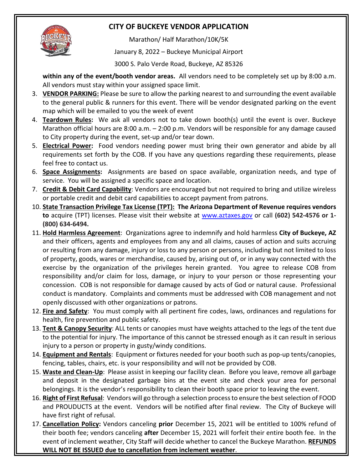# **CITY OF BUCKEYE VENDOR APPLICATION**



Marathon/ Half Marathon/10K/5K

January 8, 2022 – Buckeye Municipal Airport

3000 S. Palo Verde Road, Buckeye, AZ 85326

**within any of the event/booth vendor areas.** All vendors need to be completely set up by 8:00 a.m. All vendors must stay within your assigned space limit.

- 3. **VENDOR PARKING:** Please be sure to allow the parking nearest to and surrounding the event available to the general public & runners for this event. There will be vendor designated parking on the event map which will be emailed to you the week of event
- 4. **Teardown Rules:** We ask all vendors not to take down booth(s) until the event is over. Buckeye Marathon official hours are 8:00 a.m. – 2:00 p.m. Vendors will be responsible for any damage caused to City property during the event, set-up and/or tear down.
- 5. **Electrical Power:** Food vendors needing power must bring their own generator and abide by all requirements set forth by the COB. If you have any questions regarding these requirements, please feel free to contact us.
- 6. **Space Assignments:** Assignments are based on space available, organization needs, and type of service. You will be assigned a specific space and location.
- 7. **Credit & Debit Card Capability**: Vendors are encouraged but not required to bring and utilize wireless or portable credit and debit card capabilities to accept payment from patrons.
- 10. **State Transaction Privilege Tax License (TPT): The Arizona Department of Revenue requires vendors to** acquire (TPT) licenses. Please visit their website at [www.aztaxes.gov](http://www.aztaxes.gov/) or call **(602) 542-4576 or 1- (800) 634-6494.**
- 11. **Hold Harmless Agreement**: Organizations agree to indemnify and hold harmless **City of Buckeye, AZ**  and their officers, agents and employees from any and all claims, causes of action and suits accruing or resulting from any damage, injury or loss to any person or persons, including but not limited to loss of property, goods, wares or merchandise, caused by, arising out of, or in any way connected with the exercise by the organization of the privileges herein granted. You agree to release COB from responsibility and/or claim for loss, damage, or injury to your person or those representing your concession. COB is not responsible for damage caused by acts of God or natural cause. Professional conduct is mandatory. Complaints and comments must be addressed with COB management and not openly discussed with other organizations or patrons.
- 12. **Fire and Safety**: You must comply with all pertinent fire codes, laws, ordinances and regulations for health, fire prevention and public safety.
- 13. **Tent & Canopy Security**: ALL tents or canopies must have weights attached to the legs of the tent due to the potential for injury. The importance of this cannot be stressed enough as it can result in serious injury to a person or property in gusty/windy conditions.
- 14. **Equipment and Rentals**: Equipment or fixtures needed for your booth such as pop-up tents/canopies, fencing, tables, chairs, etc. is your responsibility and will not be provided by COB.
- 15. **Waste and Clean-Up**: Please assist in keeping our facility clean. Before you leave, remove all garbage and deposit in the designated garbage bins at the event site and check your area for personal belongings. It is the vendor's responsibility to clean their booth space prior to leaving the event.
- 16. **Right of First Refusal**: Vendors will go through a selection process to ensure the best selection of FOOD and PROUDUCTS at the event. Vendors will be notified after final review. The City of Buckeye will have first right of refusal.
- 17. **Cancellation Policy:** Vendors canceling **prior** December 15, 2021 will be entitled to 100% refund of their booth fee; vendors canceling **after** December 15, 2021 will forfeit their entire booth fee. In the event of inclement weather, City Staff will decide whether to cancel the Buckeye Marathon. **REFUNDS WILL NOT BE ISSUED due to cancellation from inclement weather**.